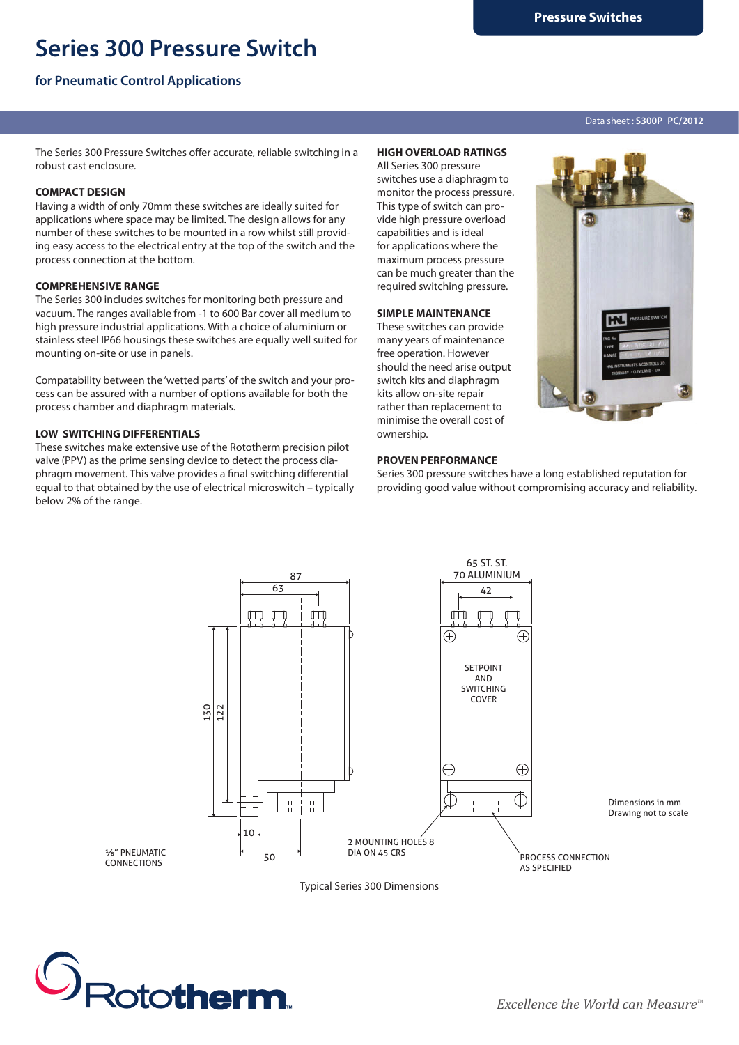# **Series 300 Pressure Switch**

## **for Pneumatic Control Applications**

#### Data sheet : **S300P\_PC/2012**

The Series 300 Pressure Switches offer accurate, reliable switching in a robust cast enclosure.

## **COMPACT DESIGN**

Having a width of only 70mm these switches are ideally suited for applications where space may be limited. The design allows for any number of these switches to be mounted in a row whilst still providing easy access to the electrical entry at the top of the switch and the process connection at the bottom.

#### **COMPREHENSIVE RANGE**

The Series 300 includes switches for monitoring both pressure and vacuum. The ranges available from -1 to 600 Bar cover all medium to high pressure industrial applications. With a choice of aluminium or stainless steel IP66 housings these switches are equally well suited for mounting on-site or use in panels.

Compatability between the 'wetted parts' of the switch and your process can be assured with a number of options available for both the process chamber and diaphragm materials.

### **LOW SWITCHING DIFFERENTIALS**

These switches make extensive use of the Rototherm precision pilot valve (PPV) as the prime sensing device to detect the process diaphragm movement. This valve provides a final switching differential equal to that obtained by the use of electrical microswitch – typically below 2% of the range.

### **HIGH OVERLOAD RATINGS**

All Series 300 pressure switches use a diaphragm to monitor the process pressure. This type of switch can provide high pressure overload capabilities and is ideal for applications where the maximum process pressure can be much greater than the required switching pressure.

#### **SIMPLE MAINTENANCE**

These switches can provide many years of maintenance free operation. However should the need arise output switch kits and diaphragm kits allow on-site repair rather than replacement to minimise the overall cost of ownership.



#### **PROVEN PERFORMANCE**

Series 300 pressure switches have a long established reputation for providing good value without compromising accuracy and reliability.



Typical Series 300 Dimensions



**CONNECTIONS**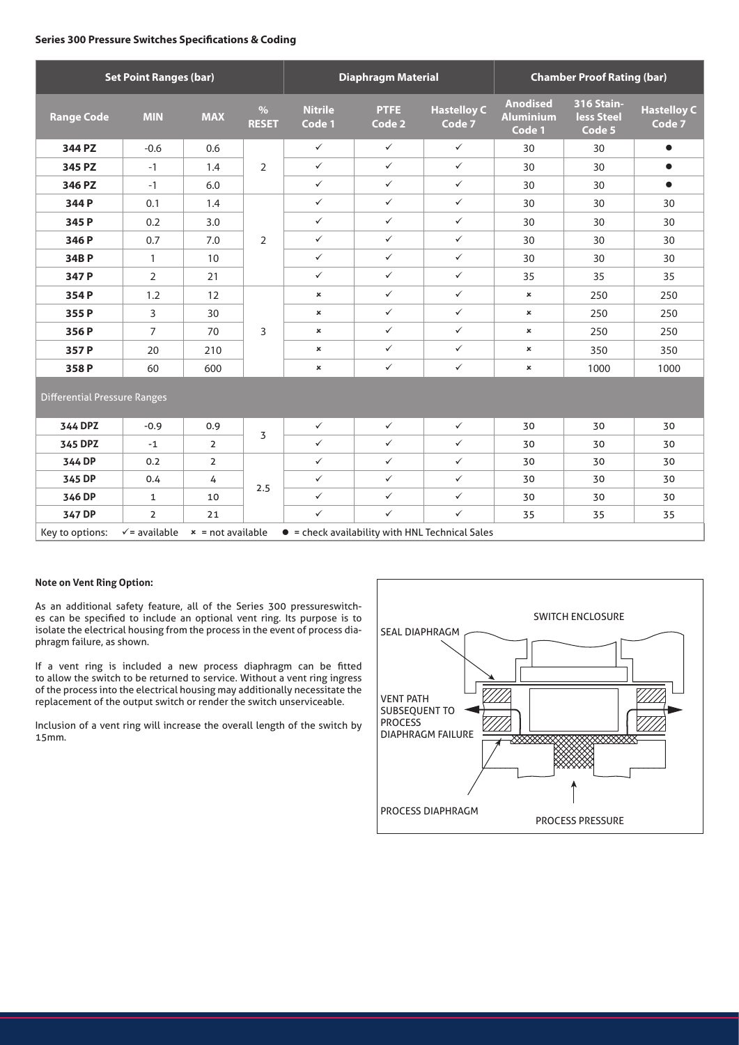#### **Series 300 Pressure Switches Specifications & Coding**

| <b>Set Point Ranges (bar)</b>       |                                                                                                            |                |                      | <b>Diaphragm Material</b> |                |                              | <b>Chamber Proof Rating (bar)</b>             |                                           |                              |
|-------------------------------------|------------------------------------------------------------------------------------------------------------|----------------|----------------------|---------------------------|----------------|------------------------------|-----------------------------------------------|-------------------------------------------|------------------------------|
| <b>Range Code</b>                   | <b>MIN</b>                                                                                                 | <b>MAX</b>     | $\%$<br><b>RESET</b> | <b>Nitrile</b><br>Code 1  | PTFE<br>Code 2 | <b>Hastelloy C</b><br>Code 7 | <b>Anodised</b><br><b>Aluminium</b><br>Code 1 | <b>316 Stain-</b><br>less Steel<br>Code 5 | <b>Hastelloy C</b><br>Code 7 |
| 344 PZ                              | $-0.6$                                                                                                     | 0.6            | $\overline{2}$       | $\checkmark$              | $\checkmark$   | $\checkmark$                 | 30                                            | 30                                        | $\bullet$                    |
| 345 PZ                              | $-1$                                                                                                       | 1.4            |                      | $\checkmark$              | $\checkmark$   | $\checkmark$                 | 30                                            | 30                                        | $\bullet$                    |
| 346 PZ                              | $-1$                                                                                                       | 6.0            |                      | $\checkmark$              | $\checkmark$   | $\checkmark$                 | 30                                            | 30                                        | $\bullet$                    |
| 344P                                | 0.1                                                                                                        | 1.4            | 2                    | $\checkmark$              | $\checkmark$   | $\checkmark$                 | 30                                            | 30                                        | 30                           |
| 345 P                               | 0.2                                                                                                        | 3.0            |                      | $\checkmark$              | $\checkmark$   | $\checkmark$                 | 30                                            | 30                                        | 30                           |
| 346 P                               | 0.7                                                                                                        | 7.0            |                      | $\checkmark$              | $\checkmark$   | $\checkmark$                 | 30                                            | 30                                        | 30                           |
| 34BP                                | $\mathbf{1}$                                                                                               | 10             |                      | $\checkmark$              | $\checkmark$   | $\checkmark$                 | 30                                            | 30                                        | 30                           |
| 347 P                               | $\overline{2}$                                                                                             | 21             |                      | $\checkmark$              | $\checkmark$   | $\checkmark$                 | 35                                            | 35                                        | 35                           |
| 354P                                | 1.2                                                                                                        | 12             | 3                    | $\boldsymbol{\mathsf{x}}$ | $\checkmark$   | $\checkmark$                 | ×                                             | 250                                       | 250                          |
| 355P                                | 3                                                                                                          | 30             |                      | $\boldsymbol{\mathsf{x}}$ | $\checkmark$   | $\checkmark$                 | ×                                             | 250                                       | 250                          |
| 356P                                | $\overline{7}$                                                                                             | 70             |                      | $\pmb{\times}$            | $\checkmark$   | $\checkmark$                 | ×                                             | 250                                       | 250                          |
| 357 P                               | 20                                                                                                         | 210            |                      | $\boldsymbol{\mathsf{x}}$ | $\checkmark$   | $\checkmark$                 | ×                                             | 350                                       | 350                          |
| 358P                                | 60                                                                                                         | 600            |                      | $\boldsymbol{\mathsf{x}}$ | $\checkmark$   | $\checkmark$                 | ×                                             | 1000                                      | 1000                         |
| <b>Differential Pressure Ranges</b> |                                                                                                            |                |                      |                           |                |                              |                                               |                                           |                              |
| 344 DPZ                             | $-0.9$                                                                                                     | 0.9            | 3                    | $\checkmark$              | $\checkmark$   | $\checkmark$                 | 30                                            | 30                                        | 30                           |
| 345 DPZ                             | $-1$                                                                                                       | $\overline{2}$ |                      | $\checkmark$              | $\checkmark$   | $\checkmark$                 | 30                                            | 30                                        | 30                           |
| 344 DP                              | 0.2                                                                                                        | $\overline{2}$ | 2.5                  | $\checkmark$              | $\checkmark$   | $\checkmark$                 | 30                                            | 30                                        | 30                           |
| 345 DP                              | 0.4                                                                                                        | 4              |                      | $\checkmark$              | $\checkmark$   | $\checkmark$                 | 30                                            | 30                                        | 30                           |
| 346 DP                              | $\mathbf{1}$                                                                                               | 10             |                      | $\checkmark$              | $\checkmark$   | $\checkmark$                 | 30                                            | 30                                        | 30                           |
| 347 DP                              | $\overline{2}$                                                                                             | 21             |                      | $\checkmark$              | $\checkmark$   | $\checkmark$                 | 35                                            | 35                                        | 35                           |
| Key to options:                     | $\checkmark$ = available<br>$x = not available$<br>$\bullet$ = check availability with HNL Technical Sales |                |                      |                           |                |                              |                                               |                                           |                              |

## **Note on Vent Ring Option:**

As an additional safety feature, all of the Series 300 pressureswitches can be specified to include an optional vent ring. Its purpose is to isolate the electrical housing from the process in the event of process diaphragm failure, as shown.

If a vent ring is included a new process diaphragm can be fitted to allow the switch to be returned to service. Without a vent ring ingress of the process into the electrical housing may additionally necessitate the replacement of the output switch or render the switch unserviceable.

Inclusion of a vent ring will increase the overall length of the switch by 15mm.